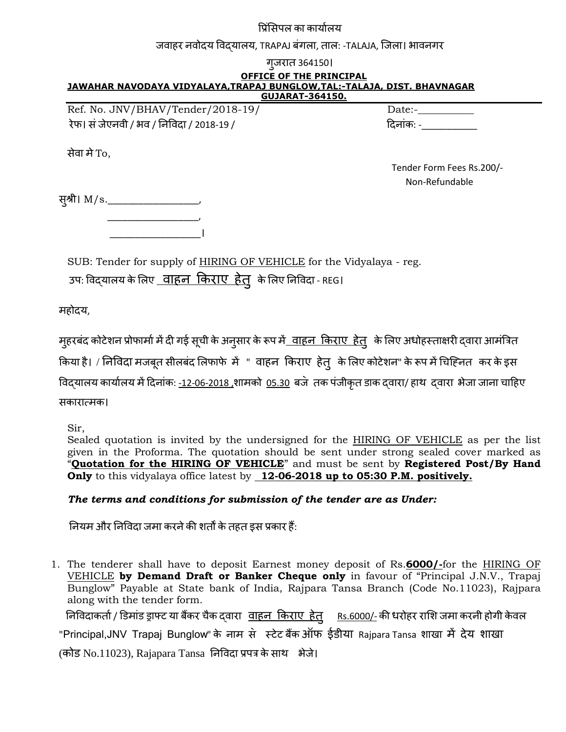#### प्रिंसिपल का कार्यालय

#### जवाहर नवोदय विदयालय, TRAPAJ बंगला, ताल: -TALAJA, जिला। भावनगर

| गजरात 364150।                                                                                                                                   |                                             |  |  |  |  |
|-------------------------------------------------------------------------------------------------------------------------------------------------|---------------------------------------------|--|--|--|--|
| <b>OFFICE OF THE PRINCIPAL</b>                                                                                                                  |                                             |  |  |  |  |
| JAWAHAR NAVODAYA VIDYALAYA, TRAPAJ BUNGLOW, TAL:-TALAJA, DIST. BHAVNAGAR<br>GUJARAT-364150.                                                     |                                             |  |  |  |  |
| Ref. No. JNV/BHAV/Tender/2018-19/                                                                                                               | Date:-                                      |  |  |  |  |
| रेफ। सं जेएनवी / भव / निविदा / 2018-19 /                                                                                                        |                                             |  |  |  |  |
| सेवा मे To,                                                                                                                                     |                                             |  |  |  |  |
|                                                                                                                                                 | Tender Form Fees Rs.200/-<br>Non-Refundable |  |  |  |  |
| स्श्री। M/s.______________________                                                                                                              |                                             |  |  |  |  |
|                                                                                                                                                 |                                             |  |  |  |  |
| SUB: Tender for supply of HIRING OF VEHICLE for the Vidyalaya - reg.<br>उपः विद् <b>यालय के लिए <u>वाहन किराए हेत्</u> के लिए</b> निविदा - REG। |                                             |  |  |  |  |
| महोदय,                                                                                                                                          |                                             |  |  |  |  |

मुहरबंद कोटेशन प्रोफार्मा में दी गई सूची के अनुसार के रूप मे<u>ं वाहन किराए हेतु</u> के लिए अधोहस्ताक्षरी द्वारा आमंत्रित

किया है। / निविदा मजबूत सीलबंद लिफाफे में " वाहन किराए हेतु के लिए कोटेशन" के रूप में चिह्नित कर के इस

विद्यालय कार्यालय में दिनांक: -12-06-2018 ,शामको 05.30 बजे तक पंजीकृत डाक द्वारा/ हाथ द्वारा भेजा जाना चाहिए

सकायात्भक।

Sir,

Sealed quotation is invited by the undersigned for the **HIRING OF VEHICLE** as per the list given in the Proforma. The quotation should be sent under strong sealed cover marked as "**Quotation for the HIRING OF VEHICLE**" and must be sent by **Registered Post/By Hand Only** to this vidyalaya office latest by **12-06-2018 up to 05:30 P.M. positively.**

### *The terms and conditions for submission of the tender are as Under:*

नियम और निविदा जमा करने की शर्तों के तहत इस प्रकार हैं:

1. The tenderer shall have to deposit Earnest money deposit of Rs.**6000/-**for the HIRING OF VEHICLE **by Demand Draft or Banker Cheque only** in favour of "Principal J.N.V., Trapaj Bunglow" Payable at State bank of India, Rajpara Tansa Branch (Code No.11023), Rajpara along with the tender form.

निविदाकर्ता / डिमांड ड्राफ्ट या बैंकर चैक दवारा वाहन किराए हेतु Rs.6000/- की धरोहर राशि जमा करनी होगी केवल

"Principal,JNV Trapaj Bunglow" के नाम से स्टेट बैंक ऑफ ईडीया Rajpara Tansa शाखा में देय शाखा

 $(n)$ कोड No.11023), Rajapara Tansa निविदा प्रपत्र के साथ भेजे।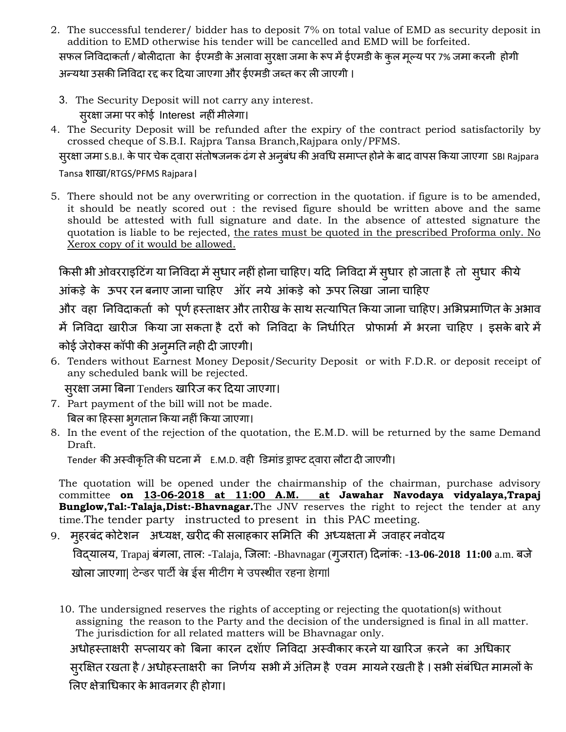- 2. The successful tenderer/ bidder has to deposit 7% on total value of EMD as security deposit in addition to EMD otherwise his tender will be cancelled and EMD will be forfeited. सफल निविदाकर्ता / बोलीदाता केा ईएमडी के अलावा सुरक्षा जमा के रूप में ईएमडी के कुल मूल्य पर 7% जमा करनी होगी अन्यथा उसकी निविदा रद्द कर दिया जाएगा और ईएमडी जब्त कर ली जाएगी ।
	- 3. The Security Deposit will not carry any interest. स्**रक्षा जमा पर कोई Interest नहीं मीलेगा**।
- 4. The Security Deposit will be refunded after the expiry of the contract period satisfactorily by crossed cheque of S.B.I. Rajpra Tansa Branch,Rajpara only/PFMS.

सुरक्षा जमा S.B.I. के पार चेक दवारा संतोषजनक ढंग से अनुबंध की अवधि समाप्त होने के बाद वापस किया जाएगा SBI Rajpara

Tansa शाखा/RTGS/PFMS Rajpara।

5. There should not be any overwriting or correction in the quotation. if figure is to be amended, it should be neatly scored out : the revised figure should be written above and the same should be attested with full signature and date. In the absence of attested signature the quotation is liable to be rejected, the rates must be quoted in the prescribed Proforma only. No Xerox copy of it would be allowed.

किसी भी ओवरराइटिंग या निविदा में सुधार नहीं होना चाहिए। यदि निविदा में सुधार हो जाता है तो सुधार कीये आंकड़े के ऊपर रन बनाए जाना चाहिए ऑर नये आंकड़े को ऊपर लिखा जाना चाहिए और वहा निविदाकर्ता को पूर्ण हस्ताक्षर और तारीख के साथ सत्यापित किया जाना चाहिए। अभिप्रमाणित के अभाव

```
में निविदा खारीज किया जा सकता है दरों को निविदा के निर्धारित प्रोफार्मा में भरना चाहिए । इसके बारे में
कोई जेयोक्स कॉऩी की अनुभनत नही दी जाएगी।
```
6. Tenders without Earnest Money Deposit/Security Deposit or with F.D.R. or deposit receipt of any scheduled bank will be rejected.

सुरक्षा जमा बिना Tenders खारिज कर दिया जाएगा।

- 7. Part payment of the bill will not be made. बिल का हिस्सा भ्गतान किया नहीं किया जाएगा।
- 8. In the event of the rejection of the quotation, the E.M.D. will be returned by the same Demand Draft.

Tender की अस्वीकृति की घटना में E.M.D. वही डिमांड ड्राफ्ट दवारा लौटा दी जाएगी।

The quotation will be opened under the chairmanship of the chairman, purchase advisory committee **on 13-06-2018 at 11:00 A.M. at Jawahar Navodaya vidyalaya,Trapaj Bunglow,Tal:-Talaja,Dist:-Bhavnagar.**The JNV reserves the right to reject the tender at any time.The tender party instructed to present in this PAC meeting.

9. मुहरबंद कोटेशन अध्यक्ष, खरीद की सलाहकार समिति की अध्यक्षता में जवाहर नवोदय

 प्वद्मारम, Trapaj फॊगरा, तार: -Talaja, जजरा: -Bhavnagar (गुजयात) ददनाॊक: -**13-06-2018 11:00** a.m. फजे खोला जाएगा| टेन्डर पार्टी के ईस मीटींग मे उपस्थीत रहना हेागा|

10. The undersigned reserves the rights of accepting or rejecting the quotation(s) without assigning the reason to the Party and the decision of the undersigned is final in all matter. The jurisdiction for all related matters will be Bhavnagar only.

अधोहस्ताक्षरी सप्लायर को बिना कारन दशॉाए निविदा अस्वीकार करने या खारिज क़रने का अधिकार सुयक्षऺत यखता है**/** अधोहस्ताऺयी का ननणाम सबी भेंअॊनतभ है एवभ भामनेयखती है। सबी सॊफॊचधत भाभरों के लिए क्षेत्राधिकार के भावनगर ही होगा।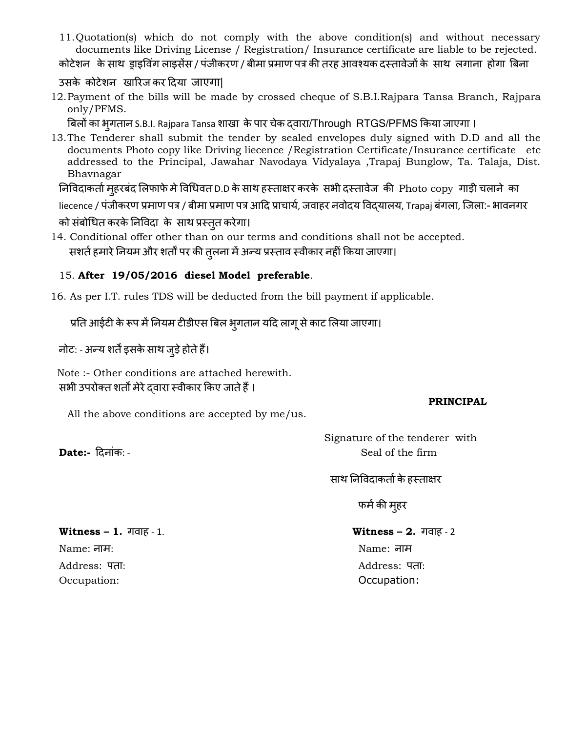11.Quotation(s) which do not comply with the above condition(s) and without necessary documents like Driving License / Registration/ Insurance certificate are liable to be rejected.

कोटेशन के साथ ड्राइविंग लाइसेंस / पंजीकरण / बीमा प्रमाण पत्र की तरह आवश्यक दस्तावेजों के साथ लगाना होगा बिना

उसके कोटेशन खारिज कर दिया जाएगा।

12.Payment of the bills will be made by crossed cheque of S.B.I.Rajpara Tansa Branch, Rajpara only/PFMS.

बिलों का भूगतान S.B.I. Rajpara Tansa शाखा के पार चेक द्वारा/Through RTGS/PFMS किया जाएगा ।

13.The Tenderer shall submit the tender by sealed envelopes duly signed with D.D and all the documents Photo copy like Driving liecence /Registration Certificate/Insurance certificate etc addressed to the Principal, Jawahar Navodaya Vidyalaya ,Trapaj Bunglow, Ta. Talaja, Dist. Bhavnagar

निविदाकर्ता महरबंद लिफाफे मे विधिवत D.D के साथ हस्ताक्षर करके सभी दस्तावेज की Photo copy गाड़ी चलाने का

liecence / पंजीकरण प्रमाण पत्र / बीमा प्रमाण पत्र आदि प्राचार्य, जवाहर नवोदय विदयालय, Trapaj बंगला, जिला:- भावनगर

को संबोधित करके निविदा के साथ प्रस्तुत करेगा।

14. Conditional offer other than on our terms and conditions shall not be accepted. सशर्त हमारे नियम और शर्तों पर की तुलना में अन्य प्रस्ताव स्वीकार नहीं किया जाएगा।

## 15. **After 19/05/2016 diesel Model preferable**.

16. As per I.T. rules TDS will be deducted from the bill payment if applicable.

प्रति आईटी के रूप में नियम टीडीएस बिल भ्गतान यदि लागू से काट लिया जाएगा।

नोट: - अन्य शर्तें इसके साथ जुड़े होते हैं।

 Note :- Other conditions are attached herewith. सभी उपरोक्त शर्तों मेरे दवारा स्वीकार किए जाते हैं।

#### **PRINCIPAL**

All the above conditions are accepted by me/us.

# Signature of the tenderer with **Date:-** दिनांक: - **Seal of the firm**

साथ निविदाकर्ता के हस्ताक्षर

फर्म की मुहर

### **Witness – 1.** गवाह - 1. **Witness – 2.** गवाह - 2

Name: नाभ: Name: नाभ Address: ऩता: Address: ऩता: Occupation: Occupation: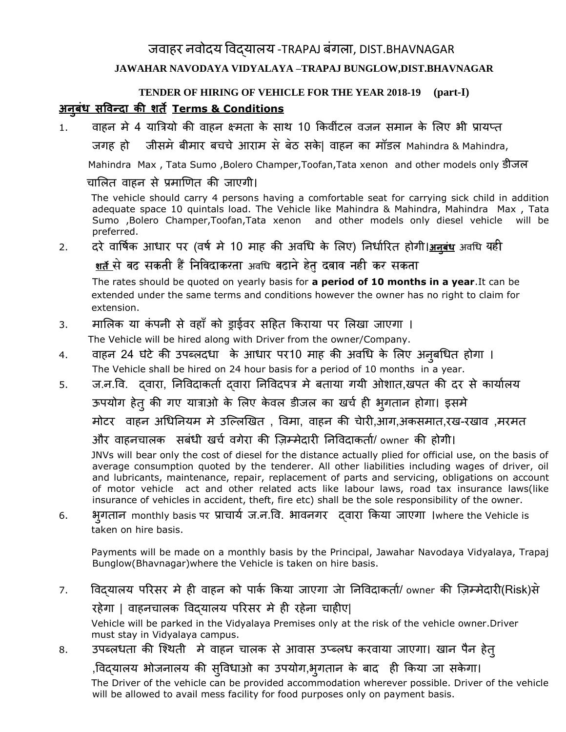# जवाहर नवोदय विदयालय -TRAPAJ बंगला, DIST.BHAVNAGAR **JAWAHAR NAVODAYA VIDYALAYA –TRAPAJ BUNGLOW,DIST.BHAVNAGAR**

# **TENDER OF HIRING OF VEHICLE FOR THE YEAR 2018-19 (part-I) अनुबंध सविन्दा की शर्तेTerms & Conditions**

1. वाहन मे 4 यात्रियो की वाहन क्ष्मता के साथ 10 किवींटल वजन समान के लिए भी प्रायप्त

जगह हो जीसभ॓ फीभाय फचचे आयाभ स॓ फ॓ठ सके| वाहन का भॉडर Mahindra & Mahindra,

Mahindra Max , Tata Sumo ,Bolero Champer,Toofan,Tata xenon and other models only डीजर

चालित वाहन से प्रमाणित की जाएगी।

 The vehicle should carry 4 persons having a comfortable seat for carrying sick child in addition adequate space 10 quintals load. The Vehicle like Mahindra & Mahindra, Mahindra Max , Tata Sumo ,Bolero Champer,Toofan,Tata xenon and other models only diesel vehicle will be preferred.

2. दरे वार्षिक आधार पर (वर्ष मे 10 माह की अवधि के लिए) निर्धारित होगी।<u>अनबंध</u> अवधि यही <u>शर्त</u> से बढ सकती हैं निविदाकरता <sub>अवधि</sub> बढाने हेत दबाव नही कर सकता

 The rates should be quoted on yearly basis for **a period of 10 months in a year**.It can be extended under the same terms and conditions however the owner has no right to claim for extension.

- 3. मालिक या कंपनी से वहाँ को ड्राईवर सहित किराया पर लिखा जाएगा । The Vehicle will be hired along with Driver from the owner/Company.
- 4. वाहन 24 घंटे की उपब्लदधा के आधार पर10 माह की अवधि के लिए अनुबधित होगा । The Vehicle shall be hired on 24 hour basis for a period of 10 months in a year.
- 5. ज.न.वि. दवारा, निविदाकर्ता दवारा निविदपत्र मे बताया गयी ओशात,खपत की दर से कार्यालय ऊपयोग हेतु की गए यात्राओ के लिए केवल डीजल का खर्च ही भुगतान होगा। इसमे भोटय वाहन अचधननमभ भे उजल्रणखत , प्वभा, वाहन की चेायी,आग,अकसभात,यख-यखाव ,भयभत और वाहनचालक सबंधी खर्च वगेरा की ज़िम्मेदारी निविदाकर्ता/ owner की होगी। JNVs will bear only the cost of diesel for the distance actually plied for official use, on the basis of average consumption quoted by the tenderer. All other liabilities including wages of driver, oil and lubricants, maintenance, repair, replacement of parts and servicing, obligations on account of motor vehicle act and other related acts like labour laws, road tax insurance laws(like insurance of vehicles in accident, theft, fire etc) shall be the sole responsibility of the owner. 6. बुगतान monthly basis ऩय राचामा ज.न.प्व. बावनगय द्वाया ककमा जाएगा ।where the Vehicle is taken on hire basis.
	- Payments will be made on a monthly basis by the Principal, Jawahar Navodaya Vidyalaya, Trapaj Bunglow(Bhavnagar)where the Vehicle is taken on hire basis.
- 7. विदयालय परिसर मे ही वाहन को पार्क किया जाएगा जेा निविदाकर्ता/ owner की ज़िम्मेदारी(Risk)से

रहेगा | वाहनचालक विदयालय परिसर मे ही रहेना चाहीए|

 Vehicle will be parked in the Vidyalaya Premises only at the risk of the vehicle owner.Driver must stay in Vidyalaya campus.

8. उपब्लधता की श्थिती मे वाहन चालक से आवास उप्ब्लध करवाया जाएगा। खान पैन हेत्

,विद्यालय भोजनालय की सुविधाओ का उपयोग,भुगतान के बाद ही किया जा सकेगा। The Driver of the vehicle can be provided accommodation wherever possible. Driver of the vehicle will be allowed to avail mess facility for food purposes only on payment basis.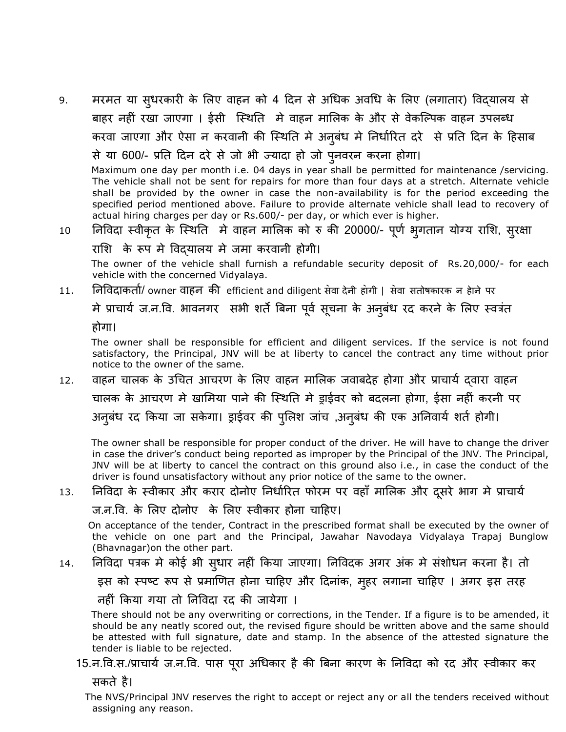9. मरमत या सुधरकारी के लिए वाहन को 4 दिन से अधिक अवधि के लिए (लगातार) विद्यालय से बाहर नहीं रखा जाएगा । ईसी स्थिति मे वाहन मालिक के और से वेकल्पिक वाहन उपलब्ध करवा जाएगा और ऐसा न करवानी की स्थिति मे अनुबंध मे निर्धारित दरे से प्रति दिन के हिसाब से मा 600/- रनत ददन दये से जो बी ज्मादा हो जो ऩुनवयन कयना होगा।

 Maximum one day per month i.e. 04 days in year shall be permitted for maintenance /servicing. The vehicle shall not be sent for repairs for more than four days at a stretch. Alternate vehicle shall be provided by the owner in case the non-availability is for the period exceeding the specified period mentioned above. Failure to provide alternate vehicle shall lead to recovery of actual hiring charges per day or Rs.600/- per day, or which ever is higher.

# 10 निविदा स्वीकृत के स्थिति मे वाहन मालिक को रु की 20000/- पूर्ण भूगतान योग्य राशि, सूरक्षा

## राशि के रूप मे विदयालय मे जमा करवानी होगी।

 The owner of the vehicle shall furnish a refundable security deposit of Rs.20,000/- for each vehicle with the concerned Vidyalaya.

11. निविदाकर्ता/ owner वाहन की efficient and diligent सेवा देनी होगी । सेवा सतोषकारक न हेाने पर

मे प्राचार्य ज.न.वि. भावनगर सभी शर्ते बिना पूर्व सूचना के अनुबंध रद करने के लिए स्वत्रंत

होगा।

 The owner shall be responsible for efficient and diligent services. If the service is not found satisfactory, the Principal, JNV will be at liberty to cancel the contract any time without prior notice to the owner of the same.

12. वाहन चारक के उचचत आचयण के सरए वाहन भासरक जवाफदेह होगा औय राचामा द्वाया वाहन चालक के आचरण मे खामिया पाने की स्थिति मे ड्राईवर को बदलना होगा, ईसा नहीं करनी पर अनुबंध रद किया जा सकेगा। ड्राईवर की पुलिश जांच ,अनुबंध की एक अनिवार्य शर्त होगी।

 The owner shall be responsible for proper conduct of the driver. He will have to change the driver in case the driver's conduct being reported as improper by the Principal of the JNV. The Principal, JNV will be at liberty to cancel the contract on this ground also i.e., in case the conduct of the driver is found unsatisfactory without any prior notice of the same to the owner.

# 13. निविदा के स्वीकार और करार दोनोए निर्धारित फोरम पर वहाँ मालिक और दूसरे भाग मे प्राचार्य

ज.न.प्व. के सरए दोनोए के सरए स्वीकाय होना चादहए।

 On acceptance of the tender, Contract in the prescribed format shall be executed by the owner of the vehicle on one part and the Principal, Jawahar Navodaya Vidyalaya Trapaj Bunglow (Bhavnagar)on the other part.

14. निविदा पत्रक मे कोई भी सुधार नहीं किया जाएगा। निविदक अगर अंक मे संशोधन करना है। तो

इस को स्पष्ट रूप से प्रमाणित होना चाहिए और दिनांक, मुहर लगाना चाहिए । अगर इस तरह

नहीं किया गया तो निविदा रद की जायेगा ।

 There should not be any overwriting or corrections, in the Tender. If a figure is to be amended, it should be any neatly scored out, the revised figure should be written above and the same should be attested with full signature, date and stamp. In the absence of the attested signature the tender is liable to be rejected.

# 15.न.वि.स./प्राचार्य ज.न.वि. पास पुरा अधिकार है की बिना कारण के निविदा को रद और स्वीकार कर

सकते है।

 The NVS/Principal JNV reserves the right to accept or reject any or all the tenders received without assigning any reason.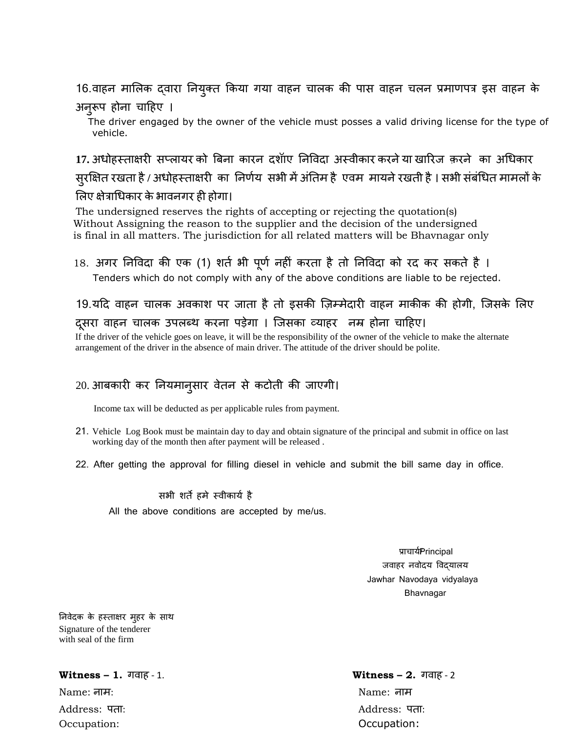# 16.वाहन मालिक द्वारा नियुक्त किया गया वाहन चालक की पास वाहन चलन प्रमाणपत्र इस वाहन के अनुरूप होना चाहिए ।

 The driver engaged by the owner of the vehicle must posses a valid driving license for the type of vehicle.

<u>17. अधोहस्ताक्षरी सप्</u>लायर को बिना कारन दशॉाए निविदा अस्वीकार करने या खारिज क़रने का अधिकार सुरक्षित रखता है / अधोहस्ताक्षरी का निर्णय सभी में अंतिम है एवम मायने रखती है । सभी संबंधित मामलों के लिए क्षेत्राधिकार के भावनगर ही होगा।

The undersigned reserves the rights of accepting or rejecting the quotation(s) Without Assigning the reason to the supplier and the decision of the undersigned is final in all matters. The jurisdiction for all related matters will be Bhavnagar only

18. अगर निविदा की एक (1) शर्त भी पूर्ण नहीं करता है तो निविदा को रद कर सकते है । Tenders which do not comply with any of the above conditions are liable to be rejected.

# 19.यदि वाहन चालक अवकाश पर जाता है तो इसकी ज़िम्मेदारी वाहन माकीक की होगी, जिसके लिए दुसरा वाहन चालक उपलब्थ करना पड़ेगा । जिसका व्याहर जम्र होना चाहिए।

 If the driver of the vehicle goes on leave, it will be the responsibility of the owner of the vehicle to make the alternate arrangement of the driver in the absence of main driver. The attitude of the driver should be polite.

# 20. आफकायी कय ननमभानुसाय वेतन से कटोती की जाएगी।

Income tax will be deducted as per applicable rules from payment.

- 21. Vehicle Log Book must be maintain day to day and obtain signature of the principal and submit in office on last working day of the month then after payment will be released .
- 22. After getting the approval for filling diesel in vehicle and submit the bill same day in office.

सभी शर्ते हमे स्वीकार्य है

All the above conditions are accepted by me/us.

प्राचार्यPrincipal जवाहर नवोदय विदयालय Jawhar Navodaya vidyalaya Bhavnagar

निवेदक के हस्ताक्षर मुहर के साथ Signature of the tenderer with seal of the firm

#### **Witness – 1.** गवाह - 1. **Witness – 2.** गवाह - 2

Name: नाभ: Name: नाभ Occupation: Occupation:

Address: ऩता: Address: ऩता: